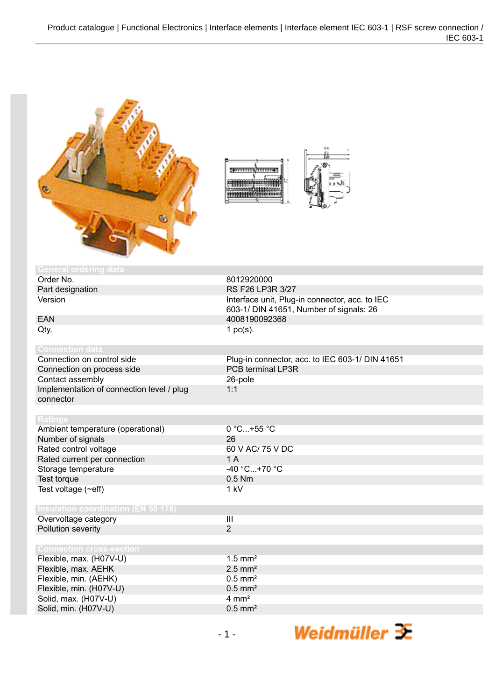

| --------<br>$0$ = $11111$ |  |
|---------------------------|--|
|                           |  |

| <b>General ordering data</b>               |                                                 |
|--------------------------------------------|-------------------------------------------------|
| Order No.                                  | 8012920000                                      |
| Part designation                           | RS F26 LP3R 3/27                                |
| Version                                    | Interface unit, Plug-in connector, acc. to IEC  |
|                                            | 603-1/ DIN 41651, Number of signals: 26         |
| <b>EAN</b>                                 | 4008190092368                                   |
| Qty.                                       | 1 $pc(s)$ .                                     |
| <b>Connection data</b>                     |                                                 |
| Connection on control side                 | Plug-in connector, acc. to IEC 603-1/ DIN 41651 |
| Connection on process side                 | PCB terminal LP3R                               |
| Contact assembly                           | 26-pole                                         |
| Implementation of connection level / plug  | 1:1                                             |
| connector                                  |                                                 |
|                                            |                                                 |
| <b>Ratings</b>                             |                                                 |
| Ambient temperature (operational)          | 0 °C+55 °C                                      |
| Number of signals                          | 26                                              |
| Rated control voltage                      | 60 V AC/ 75 V DC                                |
| Rated current per connection               | 1A                                              |
| Storage temperature                        | $-40 °C+70 °C$                                  |
| Test torque                                | $0.5$ Nm                                        |
| Test voltage $(\sim eff)$                  | 1 kV                                            |
|                                            |                                                 |
| <b>Insulation coordination (EN 50 178)</b> |                                                 |
| Overvoltage category                       | $\overline{\mathbf{III}}$                       |
| Pollution severity                         | $\overline{2}$                                  |
| <b>Connection cross-section</b>            |                                                 |
| Flexible, max. (H07V-U)                    | $1.5$ mm <sup>2</sup>                           |
| Flexible, max. AEHK                        | $2.5$ mm <sup>2</sup>                           |
| Flexible, min. (AEHK)                      | $0.5$ mm <sup>2</sup>                           |
| Flexible, min. (H07V-U)                    | $0.5$ mm <sup>2</sup>                           |
| Solid, max. (H07V-U)                       | $4 \text{ mm}^2$                                |
| Solid, min. (H07V-U)                       | $0.5$ mm <sup>2</sup>                           |
|                                            |                                                 |

Weidmüller  $\mathbf{\mathcal{F}}$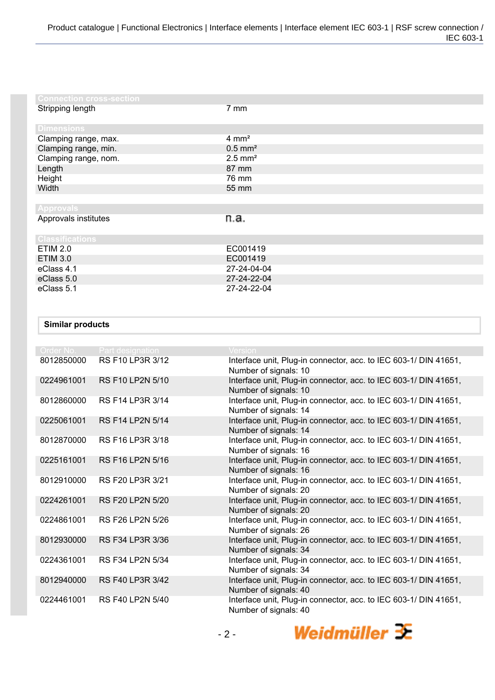| <b>Connection cross-section</b> |                       |
|---------------------------------|-----------------------|
| Stripping length                | $7 \text{ mm}$        |
| <b>Dimensions</b>               |                       |
| Clamping range, max.            | $4 \text{ mm}^2$      |
| Clamping range, min.            | $0.5$ mm <sup>2</sup> |
| Clamping range, nom.            | $2.5$ mm <sup>2</sup> |
| Length                          | 87 mm                 |
| Height                          | 76 mm                 |
| Width                           | 55 mm                 |
|                                 |                       |
| <b>Approvals</b>                |                       |
| Approvals institutes            | n.a.                  |
| <b>Classifications</b>          |                       |
| <b>ETIM 2.0</b>                 | EC001419              |
| <b>ETIM 3.0</b>                 | EC001419              |
| eClass 4.1                      | 27-24-04-04           |
| eClass 5.0                      | 27-24-22-04           |
| eClass 5.1                      | 27-24-22-04           |

## **Similar products**

| Order No.  | Part designation        | Version                                                                                   |
|------------|-------------------------|-------------------------------------------------------------------------------------------|
| 8012850000 | RS F10 LP3R 3/12        | Interface unit, Plug-in connector, acc. to IEC 603-1/ DIN 41651,<br>Number of signals: 10 |
| 0224961001 | <b>RS F10 LP2N 5/10</b> | Interface unit, Plug-in connector, acc. to IEC 603-1/ DIN 41651,<br>Number of signals: 10 |
| 8012860000 | RS F14 LP3R 3/14        | Interface unit, Plug-in connector, acc. to IEC 603-1/ DIN 41651,<br>Number of signals: 14 |
| 0225061001 | <b>RS F14 LP2N 5/14</b> | Interface unit, Plug-in connector, acc. to IEC 603-1/ DIN 41651,<br>Number of signals: 14 |
| 8012870000 | RS F16 LP3R 3/18        | Interface unit, Plug-in connector, acc. to IEC 603-1/ DIN 41651,<br>Number of signals: 16 |
| 0225161001 | RS F16 LP2N 5/16        | Interface unit, Plug-in connector, acc. to IEC 603-1/ DIN 41651,<br>Number of signals: 16 |
| 8012910000 | RS F20 LP3R 3/21        | Interface unit, Plug-in connector, acc. to IEC 603-1/ DIN 41651,<br>Number of signals: 20 |
| 0224261001 | <b>RS F20 LP2N 5/20</b> | Interface unit, Plug-in connector, acc. to IEC 603-1/ DIN 41651,<br>Number of signals: 20 |
| 0224861001 | RS F26 LP2N 5/26        | Interface unit, Plug-in connector, acc. to IEC 603-1/ DIN 41651,<br>Number of signals: 26 |
| 8012930000 | RS F34 LP3R 3/36        | Interface unit, Plug-in connector, acc. to IEC 603-1/ DIN 41651,<br>Number of signals: 34 |
| 0224361001 | RS F34 LP2N 5/34        | Interface unit, Plug-in connector, acc. to IEC 603-1/ DIN 41651,<br>Number of signals: 34 |
| 8012940000 | RS F40 LP3R 3/42        | Interface unit, Plug-in connector, acc. to IEC 603-1/ DIN 41651,<br>Number of signals: 40 |
| 0224461001 | <b>RS F40 LP2N 5/40</b> | Interface unit, Plug-in connector, acc. to IEC 603-1/ DIN 41651,<br>Number of signals: 40 |